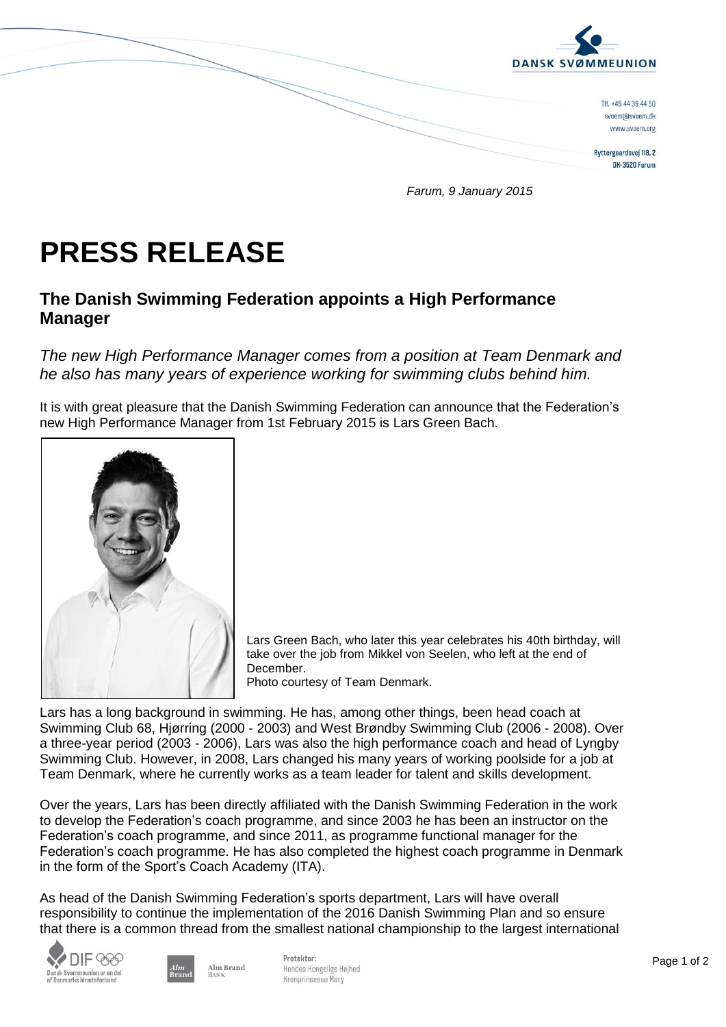

*Farum, 9 January 2015*

## **PRESS RELEASE**

## **The Danish Swimming Federation appoints a High Performance Manager**

*The new High Performance Manager comes from a position at Team Denmark and he also has many years of experience working for swimming clubs behind him.*

It is with great pleasure that the Danish Swimming Federation can announce that the Federation's new High Performance Manager from 1st February 2015 is Lars Green Bach.



Lars Green Bach, who later this year celebrates his 40th birthday, will take over the job from Mikkel von Seelen, who left at the end of December.

Photo courtesy of Team Denmark.

Lars has a long background in swimming. He has, among other things, been head coach at Swimming Club 68, Hjørring (2000 - 2003) and West Brøndby Swimming Club (2006 - 2008). Over a three-year period (2003 - 2006), Lars was also the high performance coach and head of Lyngby Swimming Club. However, in 2008, Lars changed his many years of working poolside for a job at Team Denmark, where he currently works as a team leader for talent and skills development.

Over the years, Lars has been directly affiliated with the Danish Swimming Federation in the work to develop the Federation's coach programme, and since 2003 he has been an instructor on the Federation's coach programme, and since 2011, as programme functional manager for the Federation's coach programme. He has also completed the highest coach programme in Denmark in the form of the Sport's Coach Academy (ITA).

As head of the Danish Swimming Federation's sports department, Lars will have overall responsibility to continue the implementation of the 2016 Danish Swimming Plan and so ensure that there is a common thread from the smallest national championship to the largest international